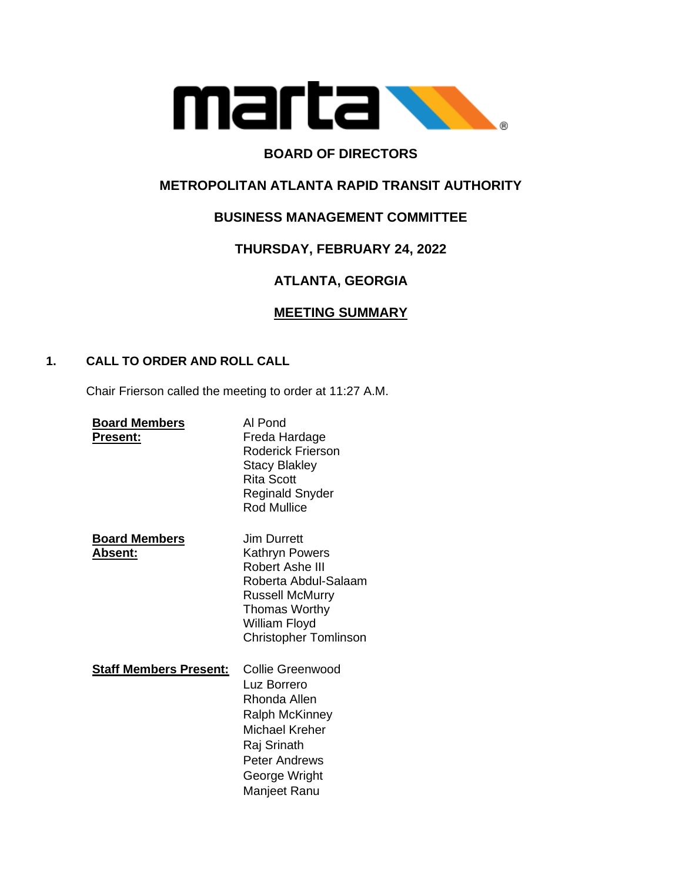

# **BOARD OF DIRECTORS**

# **METROPOLITAN ATLANTA RAPID TRANSIT AUTHORITY**

# **BUSINESS MANAGEMENT COMMITTEE**

# **THURSDAY, FEBRUARY 24, 2022**

# **ATLANTA, GEORGIA**

## **MEETING SUMMARY**

## **1. CALL TO ORDER AND ROLL CALL**

Chair Frierson called the meeting to order at 11:27 A.M.

| <b>Board Members</b><br><b>Present:</b> | Al Pond<br>Freda Hardage<br>Roderick Frierson<br><b>Stacy Blakley</b><br>Rita Scott<br>Reginald Snyder<br><b>Rod Mullice</b>                                         |
|-----------------------------------------|----------------------------------------------------------------------------------------------------------------------------------------------------------------------|
| <b>Board Members</b><br><u> Absent:</u> | Jim Durrett<br>Kathryn Powers<br>Robert Ashe III<br>Roberta Abdul-Salaam<br><b>Russell McMurry</b><br>Thomas Worthy<br>William Floyd<br><b>Christopher Tomlinson</b> |
| <b>Staff Members Present:</b>           | Collie Greenwood<br>Luz Borrero<br>Rhonda Allen<br>Ralph McKinney<br>Michael Kreher<br>Raj Srinath<br><b>Peter Andrews</b><br>George Wright<br>Manjeet Ranu          |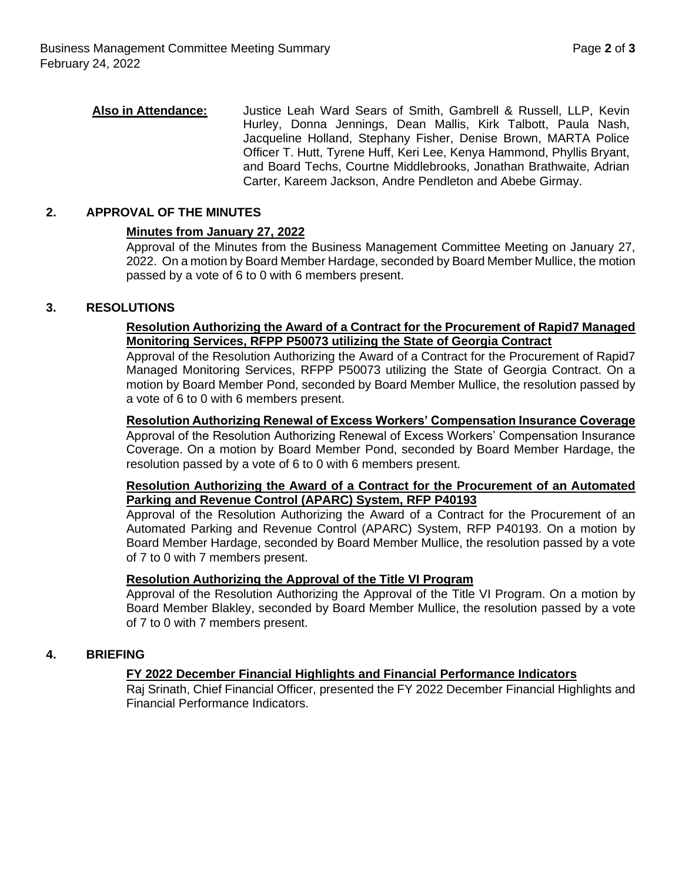**Also in Attendance:** Justice Leah Ward Sears of Smith, Gambrell & Russell, LLP, Kevin Hurley, Donna Jennings, Dean Mallis, Kirk Talbott, Paula Nash, Jacqueline Holland, Stephany Fisher, Denise Brown, MARTA Police Officer T. Hutt, Tyrene Huff, Keri Lee, Kenya Hammond, Phyllis Bryant, and Board Techs, Courtne Middlebrooks, Jonathan Brathwaite, Adrian Carter, Kareem Jackson, Andre Pendleton and Abebe Girmay.

## **2. APPROVAL OF THE MINUTES**

#### **Minutes from January 27, 2022**

Approval of the Minutes from the Business Management Committee Meeting on January 27, 2022. On a motion by Board Member Hardage, seconded by Board Member Mullice, the motion passed by a vote of 6 to 0 with 6 members present.

### **3. RESOLUTIONS**

### **Resolution Authorizing the Award of a Contract for the Procurement of Rapid7 Managed Monitoring Services, RFPP P50073 utilizing the State of Georgia Contract**

Approval of the Resolution Authorizing the Award of a Contract for the Procurement of Rapid7 Managed Monitoring Services, RFPP P50073 utilizing the State of Georgia Contract. On a motion by Board Member Pond, seconded by Board Member Mullice, the resolution passed by a vote of 6 to 0 with 6 members present.

#### **Resolution Authorizing Renewal of Excess Workers' Compensation Insurance Coverage**

Approval of the Resolution Authorizing Renewal of Excess Workers' Compensation Insurance Coverage. On a motion by Board Member Pond, seconded by Board Member Hardage, the resolution passed by a vote of 6 to 0 with 6 members present.

### **Resolution Authorizing the Award of a Contract for the Procurement of an Automated Parking and Revenue Control (APARC) System, RFP P40193**

Approval of the Resolution Authorizing the Award of a Contract for the Procurement of an Automated Parking and Revenue Control (APARC) System, RFP P40193. On a motion by Board Member Hardage, seconded by Board Member Mullice, the resolution passed by a vote of 7 to 0 with 7 members present.

#### **Resolution Authorizing the Approval of the Title VI Program**

Approval of the Resolution Authorizing the Approval of the Title VI Program. On a motion by Board Member Blakley, seconded by Board Member Mullice, the resolution passed by a vote of 7 to 0 with 7 members present.

#### **4. BRIEFING**

#### **FY 2022 December Financial Highlights and Financial Performance Indicators**

Raj Srinath, Chief Financial Officer, presented the FY 2022 December Financial Highlights and Financial Performance Indicators.